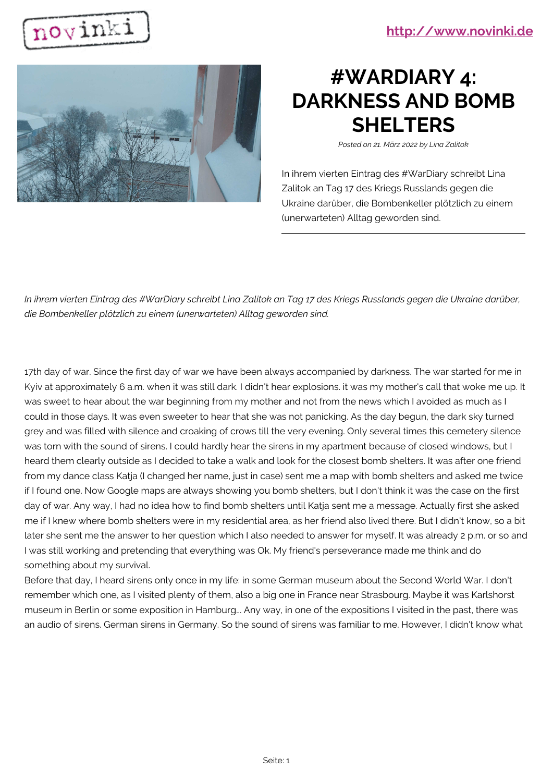



## **#WARDIARY 4: DARKNESS AND BOMB SHELTERS**

*Posted on 21. März 2022 by Lina Zalitok*

In ihrem vierten Eintrag des #WarDiary schreibt Lina Zalitok an Tag 17 des Kriegs Russlands gegen die Ukraine darüber, die Bombenkeller plötzlich zu einem (unerwarteten) Alltag geworden sind.

*In ihrem vierten Eintrag des #WarDiary schreibt Lina Zalitok an Tag 17 des Kriegs Russlands gegen die Ukraine darüber, die Bombenkeller plötzlich zu einem (unerwarteten) Alltag geworden sind.*

17th day of war. Since the first day of war we have been always accompanied by darkness. The war started for me in Kyiv at approximately 6 a.m. when it was still dark. I didn't hear explosions. it was my mother's call that woke me up. It was sweet to hear about the war beginning from my mother and not from the news which I avoided as much as I could in those days. It was even sweeter to hear that she was not panicking. As the day begun, the dark sky turned grey and was filled with silence and croaking of crows till the very evening. Only several times this cemetery silence was torn with the sound of sirens. I could hardly hear the sirens in my apartment because of closed windows, but I heard them clearly outside as I decided to take a walk and look for the closest bomb shelters. It was after one friend from my dance class Katja (I changed her name, just in case) sent me a map with bomb shelters and asked me twice if I found one. Now Google maps are always showing you bomb shelters, but I don't think it was the case on the first day of war. Any way, I had no idea how to find bomb shelters until Katja sent me a message. Actually first she asked me if I knew where bomb shelters were in my residential area, as her friend also lived there. But I didn't know, so a bit later she sent me the answer to her question which I also needed to answer for myself. It was already 2 p.m. or so and I was still working and pretending that everything was Ok. My friend's perseverance made me think and do something about my survival.

Before that day, I heard sirens only once in my life: in some German museum about the Second World War. I don't remember which one, as I visited plenty of them, also a big one in France near Strasbourg. Maybe it was Karlshorst museum in Berlin or some exposition in Hamburg... Any way, in one of the expositions I visited in the past, there was an audio of sirens. German sirens in Germany. So the sound of sirens was familiar to me. However, I didn't know what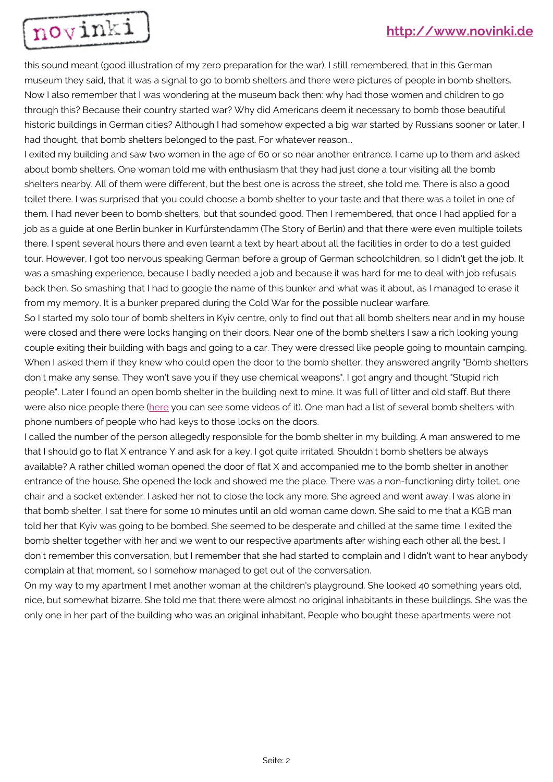

this sound meant (good illustration of my zero preparation for the war). I still remembered, that in this German museum they said, that it was a signal to go to bomb shelters and there were pictures of people in bomb shelters. Now I also remember that I was wondering at the museum back then: why had those women and children to go through this? Because their country started war? Why did Americans deem it necessary to bomb those beautiful historic buildings in German cities? Although I had somehow expected a big war started by Russians sooner or later, I had thought, that bomb shelters belonged to the past. For whatever reason...

I exited my building and saw two women in the age of 60 or so near another entrance. I came up to them and asked about bomb shelters. One woman told me with enthusiasm that they had just done a tour visiting all the bomb shelters nearby. All of them were different, but the best one is across the street, she told me. There is also a good toilet there. I was surprised that you could choose a bomb shelter to your taste and that there was a toilet in one of them. I had never been to bomb shelters, but that sounded good. Then I remembered, that once I had applied for a job as a guide at one Berlin bunker in Kurfürstendamm (The Story of Berlin) and that there were even multiple toilets there. I spent several hours there and even learnt a text by heart about all the facilities in order to do a test guided tour. However, I got too nervous speaking German before a group of German schoolchildren, so I didn't get the job. It was a smashing experience, because I badly needed a job and because it was hard for me to deal with job refusals back then. So smashing that I had to google the name of this bunker and what was it about, as I managed to erase it from my memory. It is a bunker prepared during the Cold War for the possible nuclear warfare.

So I started my solo tour of bomb shelters in Kyiv centre, only to find out that all bomb shelters near and in my house were closed and there were locks hanging on their doors. Near one of the bomb shelters I saw a rich looking young couple exiting their building with bags and going to a car. They were dressed like people going to mountain camping. When I asked them if they knew who could open the door to the bomb shelter, they answered angrily "Bomb shelters don't make any sense. They won't save you if they use chemical weapons". I got angry and thought "Stupid rich people". Later I found an open bomb shelter in the building next to mine. It was full of litter and old staff. But there were also nice people there ([here](https://www.facebook.com/100001690852187/posts/4868847679848212/) you can see some videos of it). One man had a list of several bomb shelters with phone numbers of people who had keys to those locks on the doors.

I called the number of the person allegedly responsible for the bomb shelter in my building. A man answered to me that I should go to flat X entrance Y and ask for a key. I got quite irritated. Shouldn't bomb shelters be always available? A rather chilled woman opened the door of flat X and accompanied me to the bomb shelter in another entrance of the house. She opened the lock and showed me the place. There was a non-functioning dirty toilet, one chair and a socket extender. I asked her not to close the lock any more. She agreed and went away. I was alone in that bomb shelter. I sat there for some 10 minutes until an old woman came down. She said to me that a KGB man told her that Kyiv was going to be bombed. She seemed to be desperate and chilled at the same time. I exited the bomb shelter together with her and we went to our respective apartments after wishing each other all the best. I don't remember this conversation, but I remember that she had started to complain and I didn't want to hear anybody complain at that moment, so I somehow managed to get out of the conversation.

On my way to my apartment I met another woman at the children's playground. She looked 40 something years old, nice, but somewhat bizarre. She told me that there were almost no original inhabitants in these buildings. She was the only one in her part of the building who was an original inhabitant. People who bought these apartments were not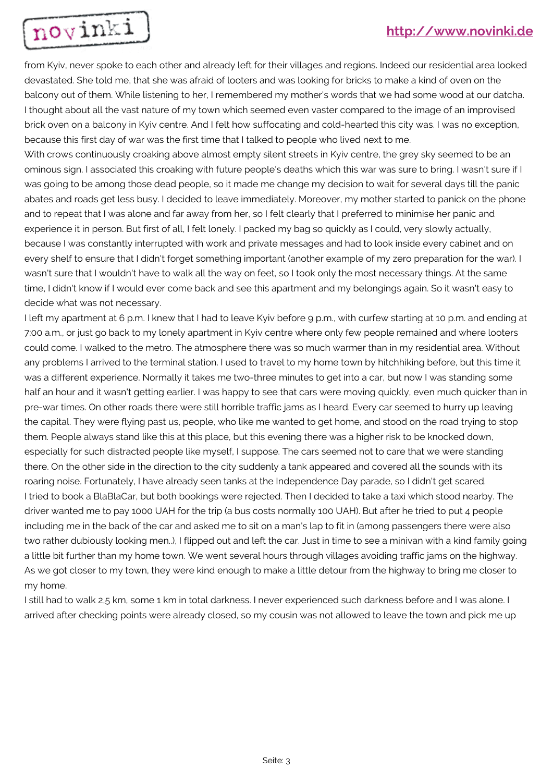

from Kyiv, never spoke to each other and already left for their villages and regions. Indeed our residential area looked devastated. She told me, that she was afraid of looters and was looking for bricks to make a kind of oven on the balcony out of them. While listening to her, I remembered my mother's words that we had some wood at our datcha. I thought about all the vast nature of my town which seemed even vaster compared to the image of an improvised brick oven on a balcony in Kyiv centre. And I felt how suffocating and cold-hearted this city was. I was no exception, because this first day of war was the first time that I talked to people who lived next to me.

With crows continuously croaking above almost empty silent streets in Kyiv centre, the grey sky seemed to be an ominous sign. I associated this croaking with future people's deaths which this war was sure to bring. I wasn't sure if I was going to be among those dead people, so it made me change my decision to wait for several days till the panic abates and roads get less busy. I decided to leave immediately. Moreover, my mother started to panick on the phone and to repeat that I was alone and far away from her, so I felt clearly that I preferred to minimise her panic and experience it in person. But first of all, I felt lonely. I packed my bag so quickly as I could, very slowly actually, because I was constantly interrupted with work and private messages and had to look inside every cabinet and on every shelf to ensure that I didn't forget something important (another example of my zero preparation for the war). I wasn't sure that I wouldn't have to walk all the way on feet, so I took only the most necessary things. At the same time, I didn't know if I would ever come back and see this apartment and my belongings again. So it wasn't easy to decide what was not necessary.

I left my apartment at 6 p.m. I knew that I had to leave Kyiv before 9 p.m., with curfew starting at 10 p.m. and ending at 7:00 a.m., or just go back to my lonely apartment in Kyiv centre where only few people remained and where looters could come. I walked to the metro. The atmosphere there was so much warmer than in my residential area. Without any problems I arrived to the terminal station. I used to travel to my home town by hitchhiking before, but this time it was a different experience. Normally it takes me two-three minutes to get into a car, but now I was standing some half an hour and it wasn't getting earlier. I was happy to see that cars were moving quickly, even much quicker than in pre-war times. On other roads there were still horrible traffic jams as I heard. Every car seemed to hurry up leaving the capital. They were flying past us, people, who like me wanted to get home, and stood on the road trying to stop them. People always stand like this at this place, but this evening there was a higher risk to be knocked down, especially for such distracted people like myself, I suppose. The cars seemed not to care that we were standing there. On the other side in the direction to the city suddenly a tank appeared and covered all the sounds with its roaring noise. Fortunately, I have already seen tanks at the Independence Day parade, so I didn't get scared. I tried to book a BlaBlaCar, but both bookings were rejected. Then I decided to take a taxi which stood nearby. The driver wanted me to pay 1000 UAH for the trip (a bus costs normally 100 UAH). But after he tried to put 4 people including me in the back of the car and asked me to sit on a man's lap to fit in (among passengers there were also two rather dubiously looking men..), I flipped out and left the car. Just in time to see a minivan with a kind family going a little bit further than my home town. We went several hours through villages avoiding traffic jams on the highway. As we got closer to my town, they were kind enough to make a little detour from the highway to bring me closer to my home.

I still had to walk 2,5 km, some 1 km in total darkness. I never experienced such darkness before and I was alone. I arrived after checking points were already closed, so my cousin was not allowed to leave the town and pick me up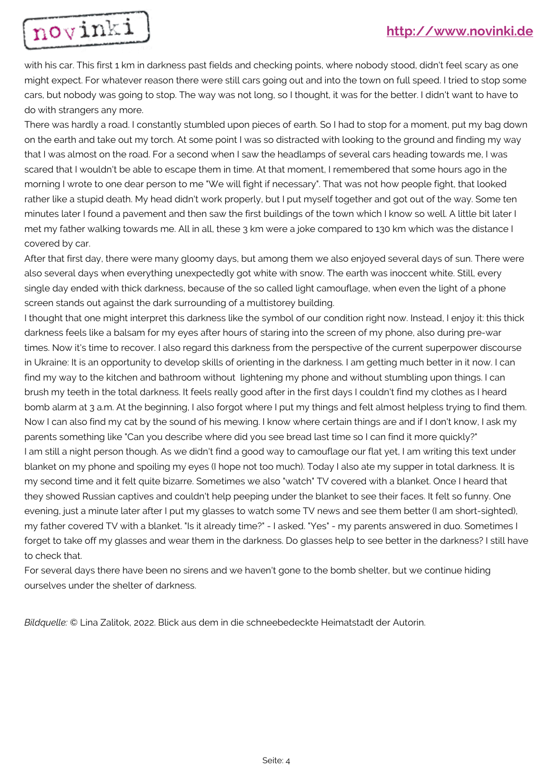

with his car. This first 1 km in darkness past fields and checking points, where nobody stood, didn't feel scary as one might expect. For whatever reason there were still cars going out and into the town on full speed. I tried to stop some cars, but nobody was going to stop. The way was not long, so I thought, it was for the better. I didn't want to have to do with strangers any more.

There was hardly a road. I constantly stumbled upon pieces of earth. So I had to stop for a moment, put my bag down on the earth and take out my torch. At some point I was so distracted with looking to the ground and finding my way that I was almost on the road. For a second when I saw the headlamps of several cars heading towards me, I was scared that I wouldn't be able to escape them in time. At that moment, I remembered that some hours ago in the morning I wrote to one dear person to me "We will fight if necessary". That was not how people fight, that looked rather like a stupid death. My head didn't work properly, but I put myself together and got out of the way. Some ten minutes later I found a pavement and then saw the first buildings of the town which I know so well. A little bit later I met my father walking towards me. All in all, these 3 km were a joke compared to 130 km which was the distance I covered by car.

After that first day, there were many gloomy days, but among them we also enjoyed several days of sun. There were also several days when everything unexpectedly got white with snow. The earth was inoccent white. Still, every single day ended with thick darkness, because of the so called light camouflage, when even the light of a phone screen stands out against the dark surrounding of a multistorey building.

I thought that one might interpret this darkness like the symbol of our condition right now. Instead, I enjoy it: this thick darkness feels like a balsam for my eyes after hours of staring into the screen of my phone, also during pre-war times. Now it's time to recover. I also regard this darkness from the perspective of the current superpower discourse in Ukraine: It is an opportunity to develop skills of orienting in the darkness. I am getting much better in it now. I can find my way to the kitchen and bathroom without lightening my phone and without stumbling upon things. I can brush my teeth in the total darkness. It feels really good after in the first days I couldn't find my clothes as I heard bomb alarm at 3 a.m. At the beginning, I also forgot where I put my things and felt almost helpless trying to find them. Now I can also find my cat by the sound of his mewing. I know where certain things are and if I don't know, I ask my parents something like "Can you describe where did you see bread last time so I can find it more quickly?" I am still a night person though. As we didn't find a good way to camouflage our flat yet, I am writing this text under blanket on my phone and spoiling my eyes (I hope not too much). Today I also ate my supper in total darkness. It is my second time and it felt quite bizarre. Sometimes we also "watch" TV covered with a blanket. Once I heard that they showed Russian captives and couldn't help peeping under the blanket to see their faces. It felt so funny. One evening, just a minute later after I put my glasses to watch some TV news and see them better (I am short-sighted), my father covered TV with a blanket. "Is it already time?" - I asked. "Yes" - my parents answered in duo. Sometimes I forget to take off my glasses and wear them in the darkness. Do glasses help to see better in the darkness? I still have to check that.

For several days there have been no sirens and we haven't gone to the bomb shelter, but we continue hiding ourselves under the shelter of darkness.

*Bildquelle:* © Lina Zalitok, 2022. Blick aus dem in die schneebedeckte Heimatstadt der Autorin.